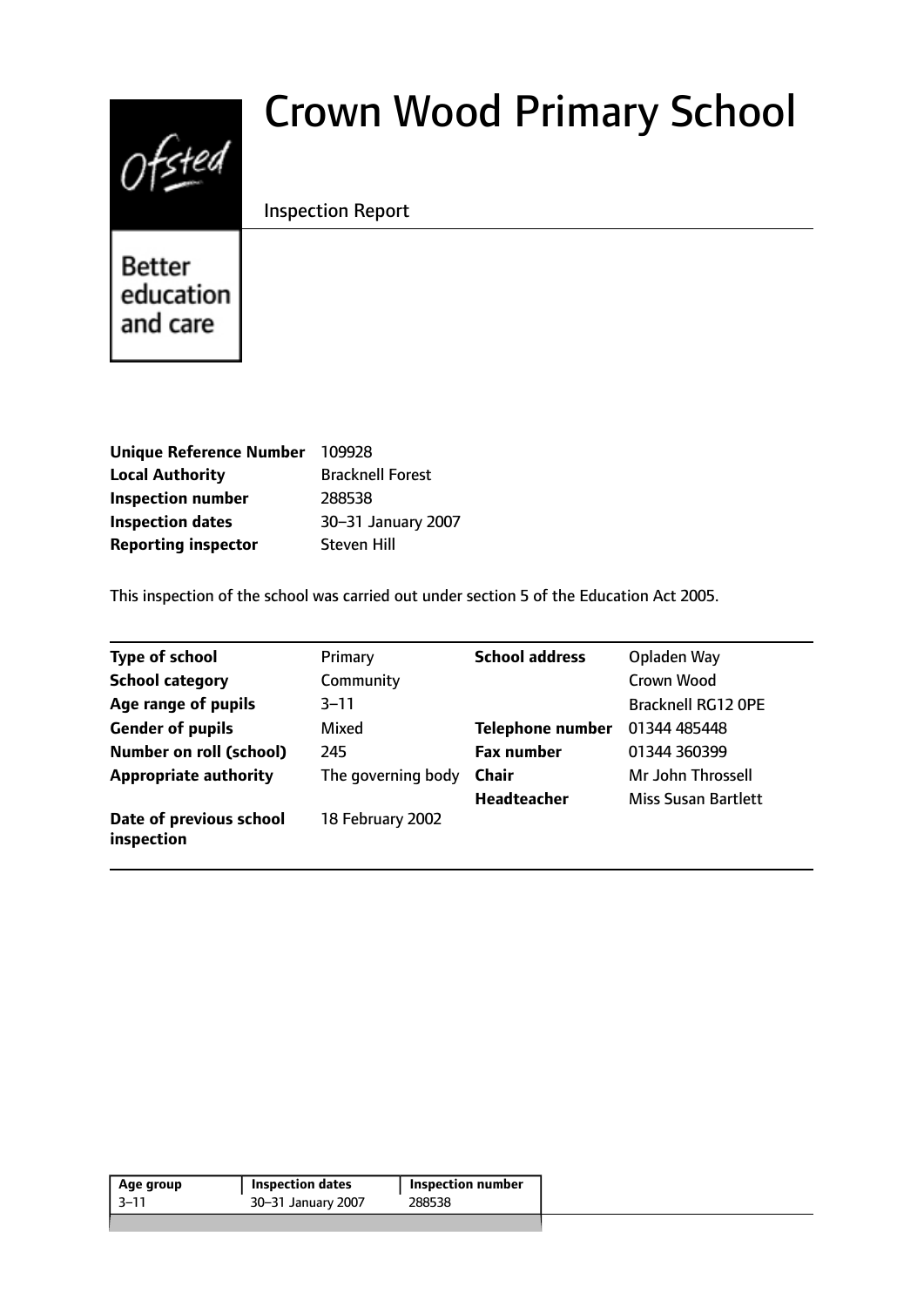# $0$ fsted

# Crown Wood Primary School

# Inspection Report

**Better** education and care

| <b>Unique Reference Number</b> | 109928                  |
|--------------------------------|-------------------------|
| <b>Local Authority</b>         | <b>Bracknell Forest</b> |
| <b>Inspection number</b>       | 288538                  |
| <b>Inspection dates</b>        | 30-31 January 2007      |
| <b>Reporting inspector</b>     | <b>Steven Hill</b>      |

This inspection of the school was carried out under section 5 of the Education Act 2005.

| <b>Type of school</b>                 | Primary            | <b>School address</b>   | Opladen Way               |
|---------------------------------------|--------------------|-------------------------|---------------------------|
| <b>School category</b>                | Community          |                         | Crown Wood                |
| Age range of pupils                   | 3–11               |                         | <b>Bracknell RG12 OPE</b> |
| <b>Gender of pupils</b>               | Mixed              | <b>Telephone number</b> | 01344 485448              |
| Number on roll (school)               | 245                | <b>Fax number</b>       | 01344 360399              |
| <b>Appropriate authority</b>          | The governing body | <b>Chair</b>            | Mr John Throssell         |
|                                       |                    | <b>Headteacher</b>      | Miss Susan Bartlett       |
| Date of previous school<br>inspection | 18 February 2002   |                         |                           |

| 288538<br>$-3-11$<br>30-31 January 2007 | Age group | <b>Inspection dates</b> | Inspection number |
|-----------------------------------------|-----------|-------------------------|-------------------|
|                                         |           |                         |                   |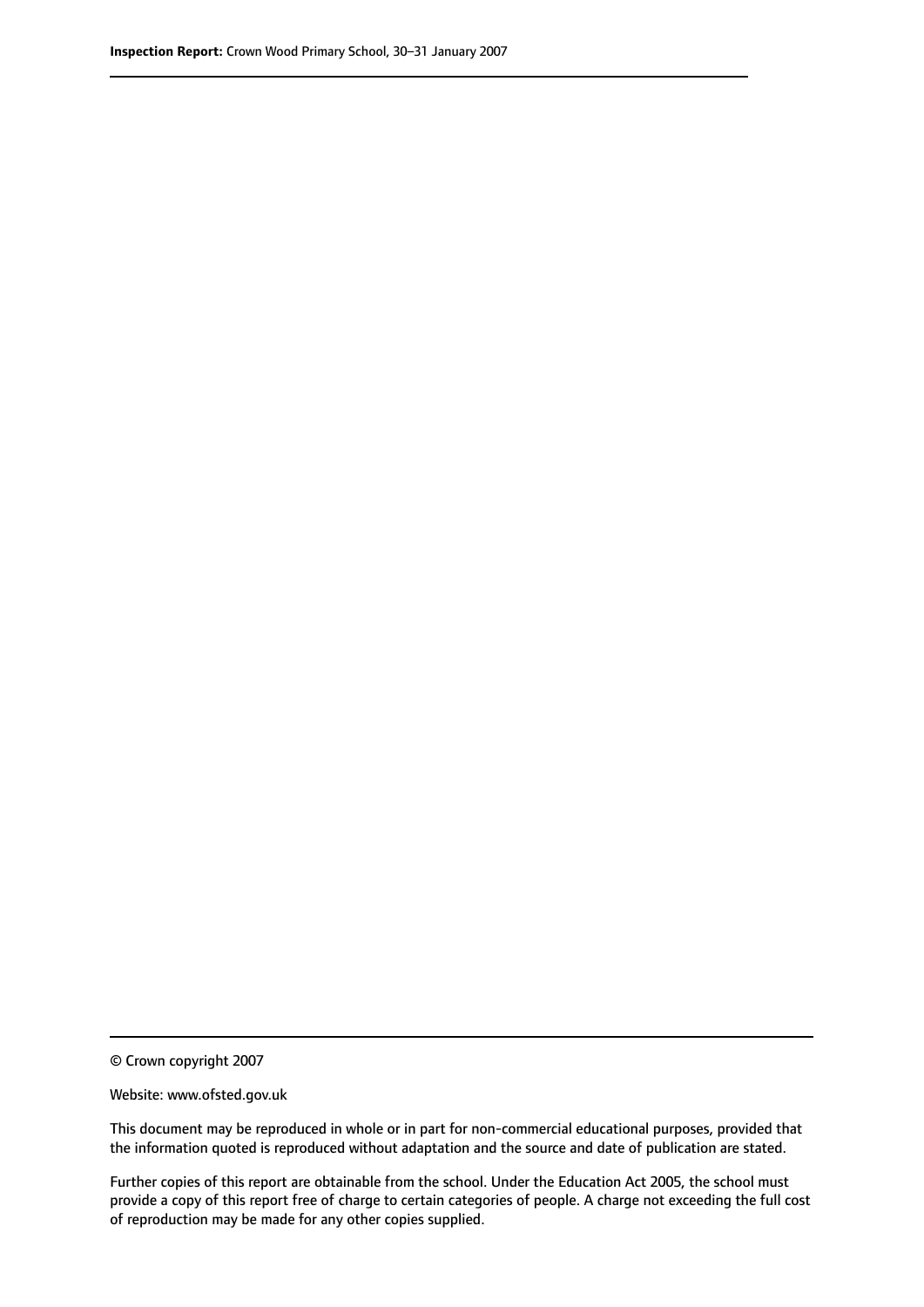© Crown copyright 2007

Website: www.ofsted.gov.uk

This document may be reproduced in whole or in part for non-commercial educational purposes, provided that the information quoted is reproduced without adaptation and the source and date of publication are stated.

Further copies of this report are obtainable from the school. Under the Education Act 2005, the school must provide a copy of this report free of charge to certain categories of people. A charge not exceeding the full cost of reproduction may be made for any other copies supplied.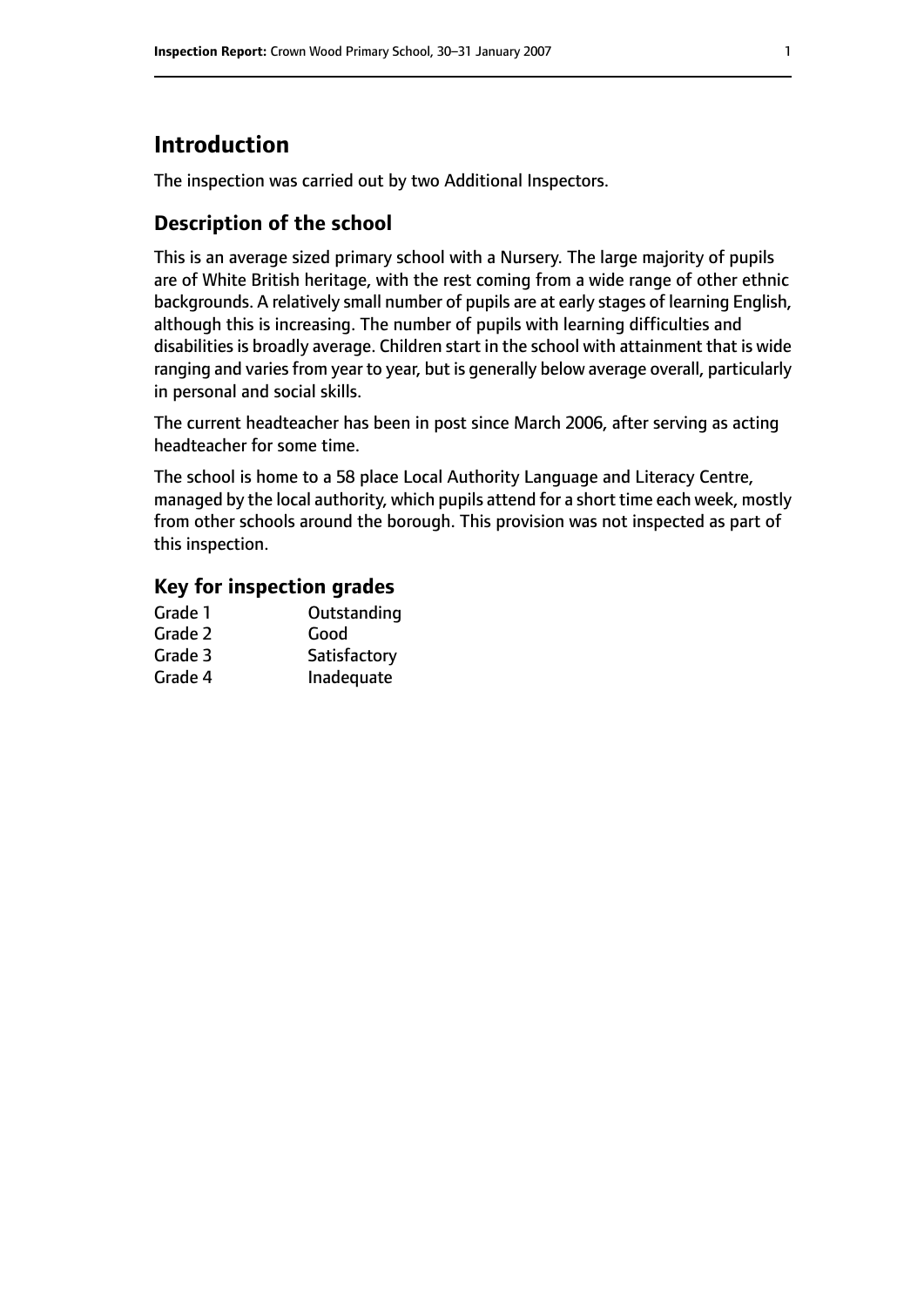# **Introduction**

The inspection was carried out by two Additional Inspectors.

# **Description of the school**

This is an average sized primary school with a Nursery. The large majority of pupils are of White British heritage, with the rest coming from a wide range of other ethnic backgrounds. A relatively small number of pupils are at early stages of learning English, although this is increasing. The number of pupils with learning difficulties and disabilities is broadly average. Children start in the school with attainment that is wide ranging and varies from year to year, but is generally below average overall, particularly in personal and social skills.

The current headteacher has been in post since March 2006, after serving as acting headteacher for some time.

The school is home to a 58 place Local Authority Language and Literacy Centre, managed by the local authority, which pupils attend for a short time each week, mostly from other schools around the borough. This provision was not inspected as part of this inspection.

## **Key for inspection grades**

| Grade 1 | Outstanding  |
|---------|--------------|
| Grade 2 | Good         |
| Grade 3 | Satisfactory |
| Grade 4 | Inadequate   |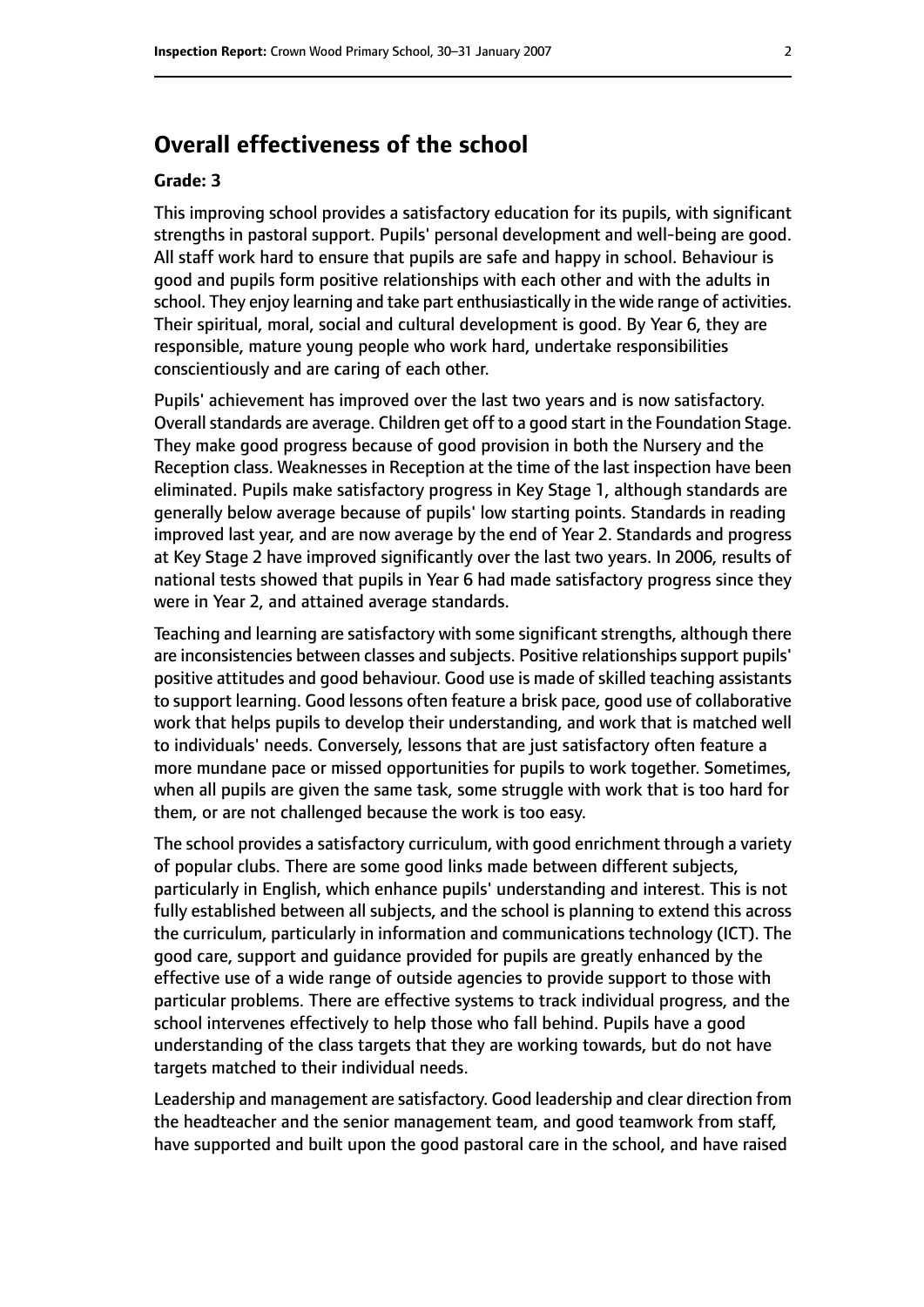# **Overall effectiveness of the school**

#### **Grade: 3**

This improving school provides a satisfactory education for its pupils, with significant strengths in pastoral support. Pupils' personal development and well-being are good. All staff work hard to ensure that pupils are safe and happy in school. Behaviour is good and pupils form positive relationships with each other and with the adults in school. They enjoy learning and take part enthusiastically in the wide range of activities. Their spiritual, moral, social and cultural development is good. By Year 6, they are responsible, mature young people who work hard, undertake responsibilities conscientiously and are caring of each other.

Pupils' achievement has improved over the last two years and is now satisfactory. Overall standards are average. Children get off to a good start in the Foundation Stage. They make good progress because of good provision in both the Nursery and the Reception class. Weaknesses in Reception at the time of the last inspection have been eliminated. Pupils make satisfactory progress in Key Stage 1, although standards are generally below average because of pupils' low starting points. Standards in reading improved last year, and are now average by the end of Year 2. Standards and progress at Key Stage 2 have improved significantly over the last two years. In 2006, results of national tests showed that pupils in Year 6 had made satisfactory progress since they were in Year 2, and attained average standards.

Teaching and learning are satisfactory with some significant strengths, although there are inconsistencies between classes and subjects. Positive relationships support pupils' positive attitudes and good behaviour. Good use is made of skilled teaching assistants to support learning. Good lessons often feature a brisk pace, good use of collaborative work that helps pupils to develop their understanding, and work that is matched well to individuals' needs. Conversely, lessons that are just satisfactory often feature a more mundane pace or missed opportunities for pupils to work together. Sometimes, when all pupils are given the same task, some struggle with work that is too hard for them, or are not challenged because the work is too easy.

The school provides a satisfactory curriculum, with good enrichment through a variety of popular clubs. There are some good links made between different subjects, particularly in English, which enhance pupils' understanding and interest. This is not fully established between all subjects, and the school is planning to extend this across the curriculum, particularly in information and communications technology (ICT). The good care, support and guidance provided for pupils are greatly enhanced by the effective use of a wide range of outside agencies to provide support to those with particular problems. There are effective systems to track individual progress, and the school intervenes effectively to help those who fall behind. Pupils have a good understanding of the class targets that they are working towards, but do not have targets matched to their individual needs.

Leadership and management are satisfactory. Good leadership and clear direction from the headteacher and the senior management team, and good teamwork from staff, have supported and built upon the good pastoral care in the school, and have raised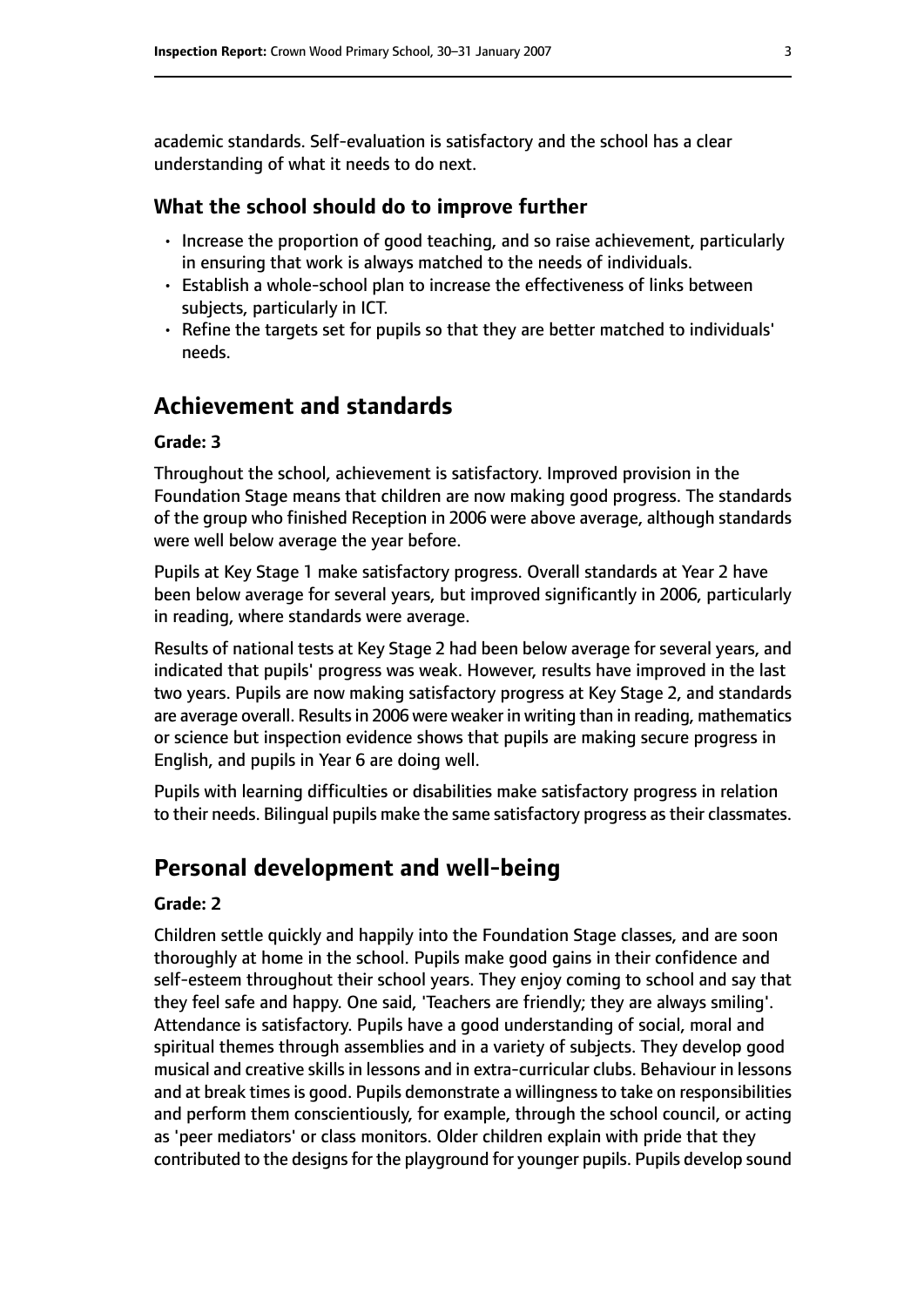academic standards. Self-evaluation is satisfactory and the school has a clear understanding of what it needs to do next.

#### **What the school should do to improve further**

- Increase the proportion of good teaching, and so raise achievement, particularly in ensuring that work is always matched to the needs of individuals.
- Establish a whole-school plan to increase the effectiveness of links between subjects, particularly in ICT.
- Refine the targets set for pupils so that they are better matched to individuals' needs.

# **Achievement and standards**

#### **Grade: 3**

Throughout the school, achievement is satisfactory. Improved provision in the Foundation Stage means that children are now making good progress. The standards of the group who finished Reception in 2006 were above average, although standards were well below average the year before.

Pupils at Key Stage 1 make satisfactory progress. Overall standards at Year 2 have been below average for several years, but improved significantly in 2006, particularly in reading, where standards were average.

Results of national tests at Key Stage 2 had been below average for several years, and indicated that pupils' progress was weak. However, results have improved in the last two years. Pupils are now making satisfactory progress at Key Stage 2, and standards are average overall. Results in 2006 were weaker in writing than in reading, mathematics or science but inspection evidence shows that pupils are making secure progress in English, and pupils in Year 6 are doing well.

Pupils with learning difficulties or disabilities make satisfactory progress in relation to their needs. Bilingual pupils make the same satisfactory progress as their classmates.

## **Personal development and well-being**

#### **Grade: 2**

Children settle quickly and happily into the Foundation Stage classes, and are soon thoroughly at home in the school. Pupils make good gains in their confidence and self-esteem throughout their school years. They enjoy coming to school and say that they feel safe and happy. One said, 'Teachers are friendly; they are always smiling'. Attendance is satisfactory. Pupils have a good understanding of social, moral and spiritual themes through assemblies and in a variety of subjects. They develop good musical and creative skills in lessons and in extra-curricular clubs. Behaviour in lessons and at break times is good. Pupils demonstrate a willingness to take on responsibilities and perform them conscientiously, for example, through the school council, or acting as 'peer mediators' or class monitors. Older children explain with pride that they contributed to the designs for the playground for younger pupils. Pupils develop sound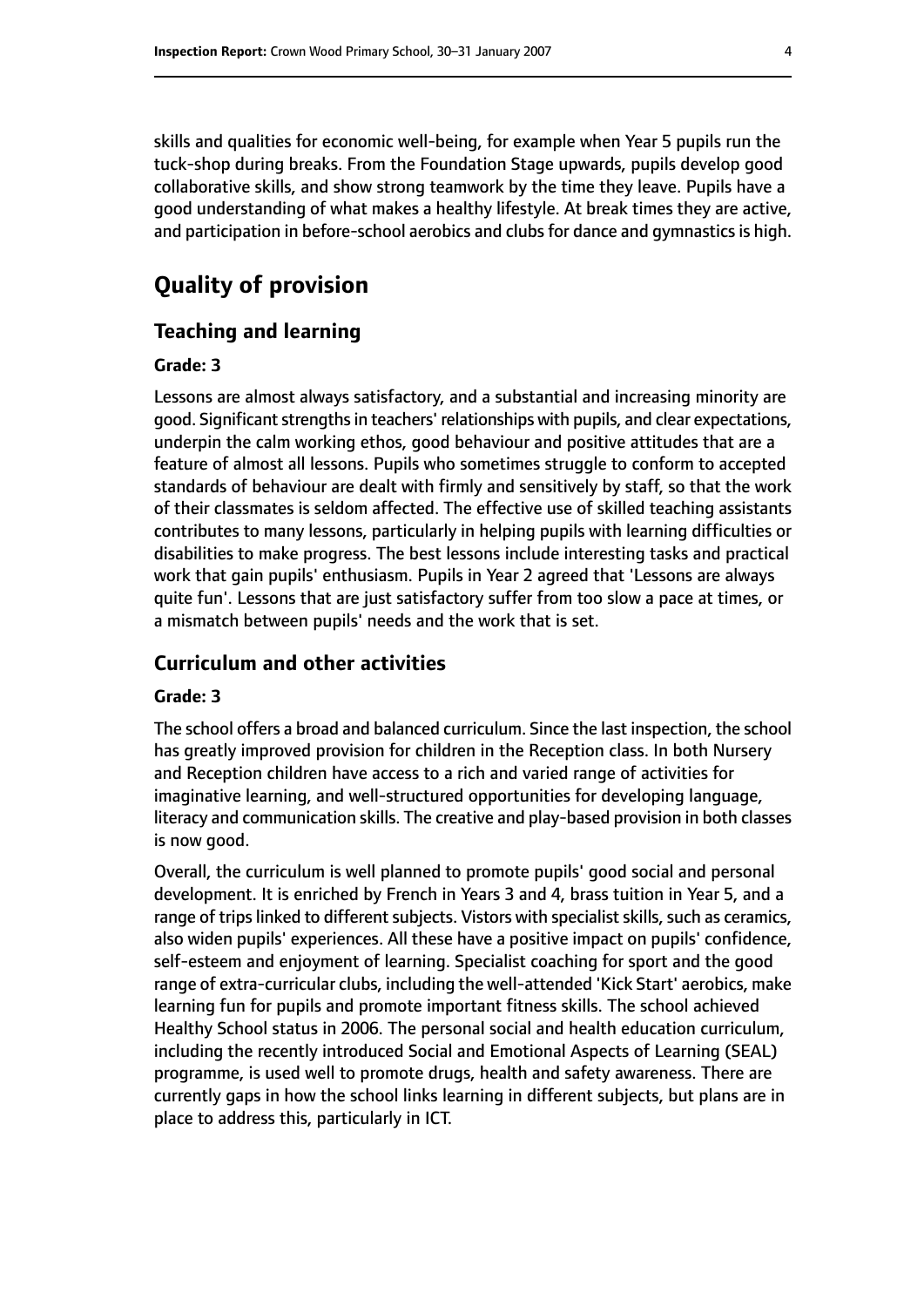skills and qualities for economic well-being, for example when Year 5 pupils run the tuck-shop during breaks. From the Foundation Stage upwards, pupils develop good collaborative skills, and show strong teamwork by the time they leave. Pupils have a good understanding of what makes a healthy lifestyle. At break times they are active, and participation in before-school aerobics and clubs for dance and gymnastics is high.

# **Quality of provision**

#### **Teaching and learning**

#### **Grade: 3**

Lessons are almost always satisfactory, and a substantial and increasing minority are good. Significant strengths in teachers' relationships with pupils, and clear expectations, underpin the calm working ethos, good behaviour and positive attitudes that are a feature of almost all lessons. Pupils who sometimes struggle to conform to accepted standards of behaviour are dealt with firmly and sensitively by staff, so that the work of their classmates is seldom affected. The effective use of skilled teaching assistants contributes to many lessons, particularly in helping pupils with learning difficulties or disabilities to make progress. The best lessons include interesting tasks and practical work that gain pupils' enthusiasm. Pupils in Year 2 agreed that 'Lessons are always quite fun'. Lessons that are just satisfactory suffer from too slow a pace at times, or a mismatch between pupils' needs and the work that is set.

#### **Curriculum and other activities**

#### **Grade: 3**

The school offers a broad and balanced curriculum. Since the last inspection, the school has greatly improved provision for children in the Reception class. In both Nursery and Reception children have access to a rich and varied range of activities for imaginative learning, and well-structured opportunities for developing language, literacy and communication skills. The creative and play-based provision in both classes is now good.

Overall, the curriculum is well planned to promote pupils' good social and personal development. It is enriched by French in Years 3 and 4, brass tuition in Year 5, and a range of trips linked to different subjects. Vistors with specialist skills, such as ceramics, also widen pupils' experiences. All these have a positive impact on pupils' confidence, self-esteem and enjoyment of learning. Specialist coaching for sport and the good range of extra-curricular clubs, including the well-attended 'Kick Start' aerobics, make learning fun for pupils and promote important fitness skills. The school achieved Healthy School status in 2006. The personal social and health education curriculum, including the recently introduced Social and Emotional Aspects of Learning (SEAL) programme, is used well to promote drugs, health and safety awareness. There are currently gaps in how the school links learning in different subjects, but plans are in place to address this, particularly in ICT.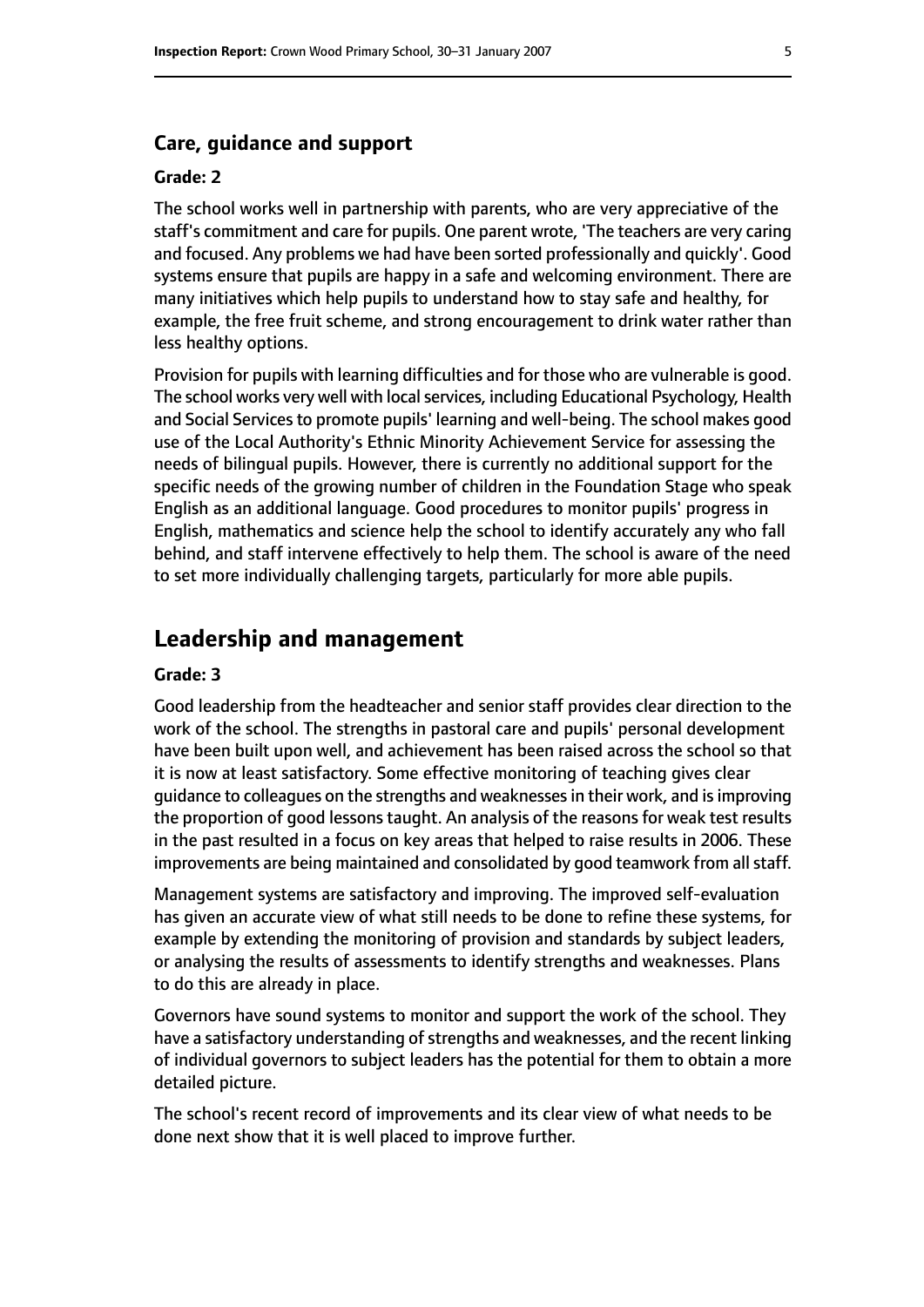#### **Care, guidance and support**

#### **Grade: 2**

The school works well in partnership with parents, who are very appreciative of the staff's commitment and care for pupils. One parent wrote, 'The teachers are very caring and focused. Any problems we had have been sorted professionally and quickly'. Good systems ensure that pupils are happy in a safe and welcoming environment. There are many initiatives which help pupils to understand how to stay safe and healthy, for example, the free fruit scheme, and strong encouragement to drink water rather than less healthy options.

Provision for pupils with learning difficulties and for those who are vulnerable is good. The school works very well with local services, including Educational Psychology, Health and Social Services to promote pupils' learning and well-being. The school makes good use of the Local Authority's Ethnic Minority Achievement Service for assessing the needs of bilingual pupils. However, there is currently no additional support for the specific needs of the growing number of children in the Foundation Stage who speak English as an additional language. Good procedures to monitor pupils' progress in English, mathematics and science help the school to identify accurately any who fall behind, and staff intervene effectively to help them. The school is aware of the need to set more individually challenging targets, particularly for more able pupils.

# **Leadership and management**

#### **Grade: 3**

Good leadership from the headteacher and senior staff provides clear direction to the work of the school. The strengths in pastoral care and pupils' personal development have been built upon well, and achievement has been raised across the school so that it is now at least satisfactory. Some effective monitoring of teaching gives clear guidance to colleagues on the strengths and weaknessesin their work, and isimproving the proportion of good lessons taught. An analysis of the reasons for weak test results in the past resulted in a focus on key areas that helped to raise results in 2006. These improvements are being maintained and consolidated by good teamwork from all staff.

Management systems are satisfactory and improving. The improved self-evaluation has given an accurate view of what still needs to be done to refine these systems, for example by extending the monitoring of provision and standards by subject leaders, or analysing the results of assessments to identify strengths and weaknesses. Plans to do this are already in place.

Governors have sound systems to monitor and support the work of the school. They have a satisfactory understanding of strengths and weaknesses, and the recent linking of individual governors to subject leaders has the potential for them to obtain a more detailed picture.

The school's recent record of improvements and its clear view of what needs to be done next show that it is well placed to improve further.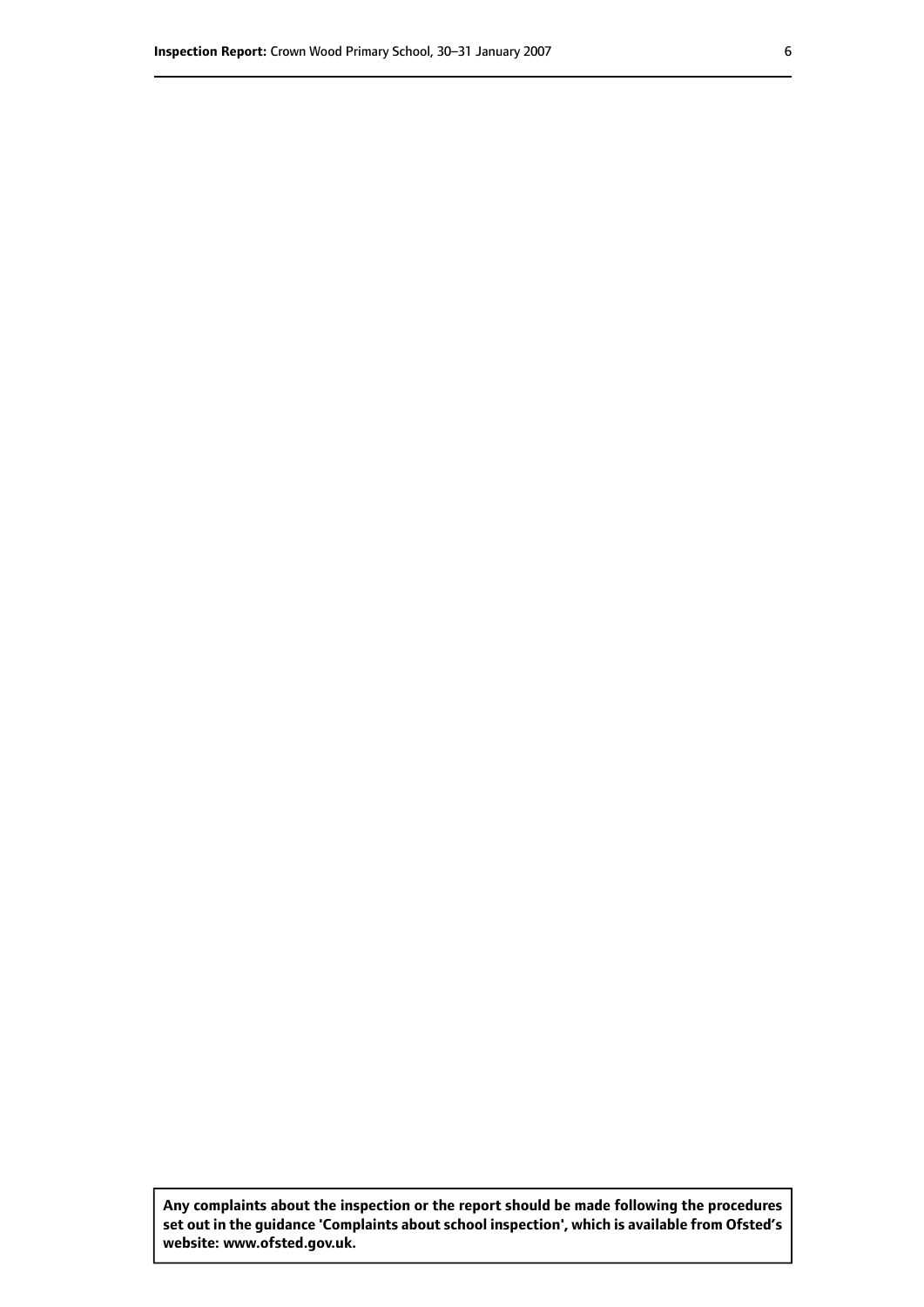**Any complaints about the inspection or the report should be made following the procedures set out inthe guidance 'Complaints about school inspection', whichis available from Ofsted's website: www.ofsted.gov.uk.**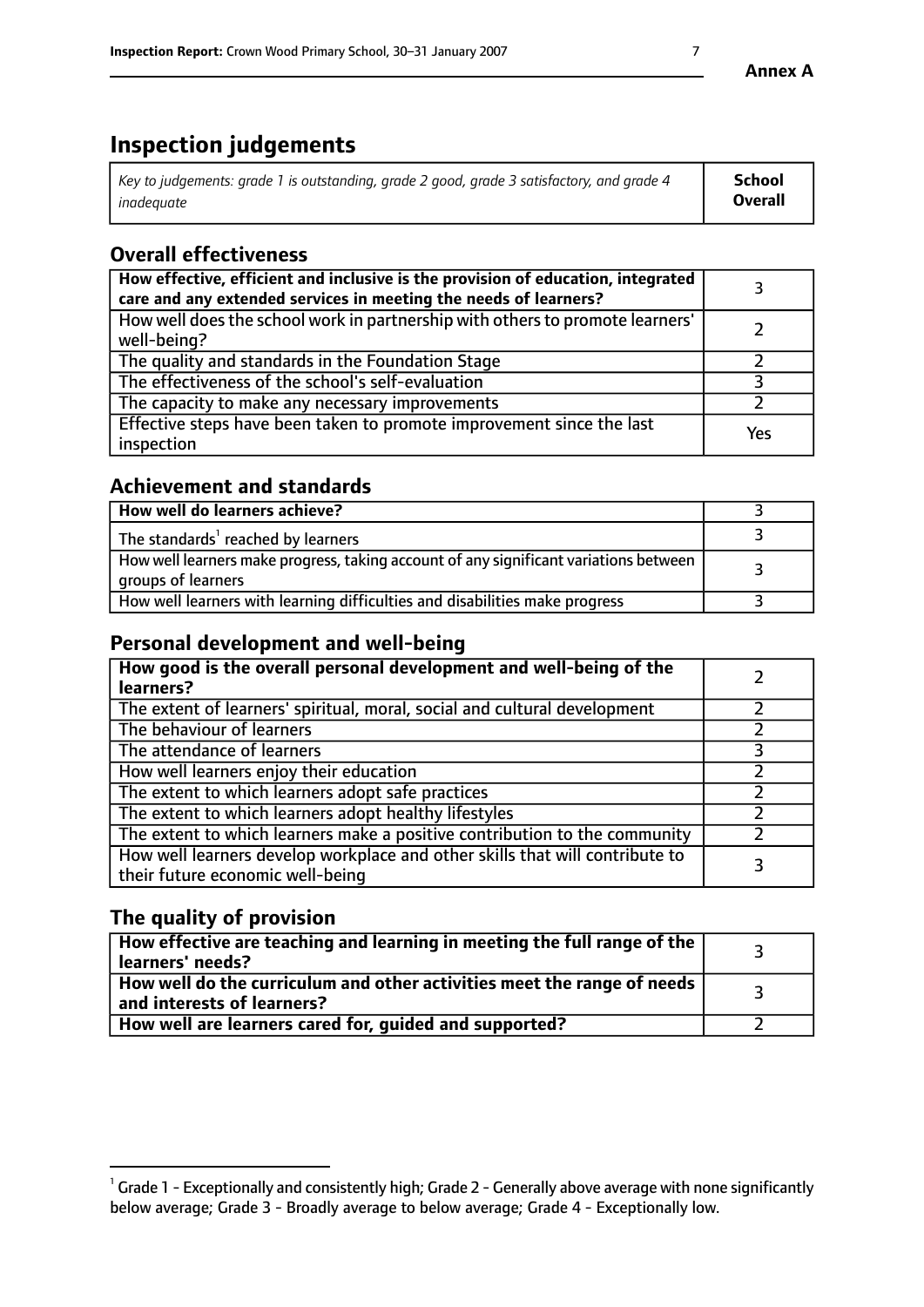# **Inspection judgements**

| Key to judgements: grade 1 is outstanding, grade 2 good, grade 3 satisfactory, and grade 4 | <b>School</b>  |
|--------------------------------------------------------------------------------------------|----------------|
| inadeauate                                                                                 | <b>Overall</b> |

# **Overall effectiveness**

| How effective, efficient and inclusive is the provision of education, integrated<br>care and any extended services in meeting the needs of learners? |     |
|------------------------------------------------------------------------------------------------------------------------------------------------------|-----|
| How well does the school work in partnership with others to promote learners'<br>well-being?                                                         |     |
| The quality and standards in the Foundation Stage                                                                                                    |     |
| The effectiveness of the school's self-evaluation                                                                                                    |     |
| The capacity to make any necessary improvements                                                                                                      |     |
| Effective steps have been taken to promote improvement since the last<br>inspection                                                                  | Yes |

# **Achievement and standards**

| How well do learners achieve?                                                                               |  |
|-------------------------------------------------------------------------------------------------------------|--|
| The standards <sup>1</sup> reached by learners                                                              |  |
| How well learners make progress, taking account of any significant variations between<br>groups of learners |  |
| How well learners with learning difficulties and disabilities make progress                                 |  |

# **Personal development and well-being**

| How good is the overall personal development and well-being of the<br>learners?                                  |  |
|------------------------------------------------------------------------------------------------------------------|--|
| The extent of learners' spiritual, moral, social and cultural development                                        |  |
| The behaviour of learners                                                                                        |  |
| The attendance of learners                                                                                       |  |
| How well learners enjoy their education                                                                          |  |
| The extent to which learners adopt safe practices                                                                |  |
| The extent to which learners adopt healthy lifestyles                                                            |  |
| The extent to which learners make a positive contribution to the community                                       |  |
| How well learners develop workplace and other skills that will contribute to<br>their future economic well-being |  |

# **The quality of provision**

| How effective are teaching and learning in meeting the full range of the<br>learners' needs?          |  |
|-------------------------------------------------------------------------------------------------------|--|
| How well do the curriculum and other activities meet the range of needs<br>and interests of learners? |  |
| How well are learners cared for, guided and supported?                                                |  |

 $^1$  Grade 1 - Exceptionally and consistently high; Grade 2 - Generally above average with none significantly below average; Grade 3 - Broadly average to below average; Grade 4 - Exceptionally low.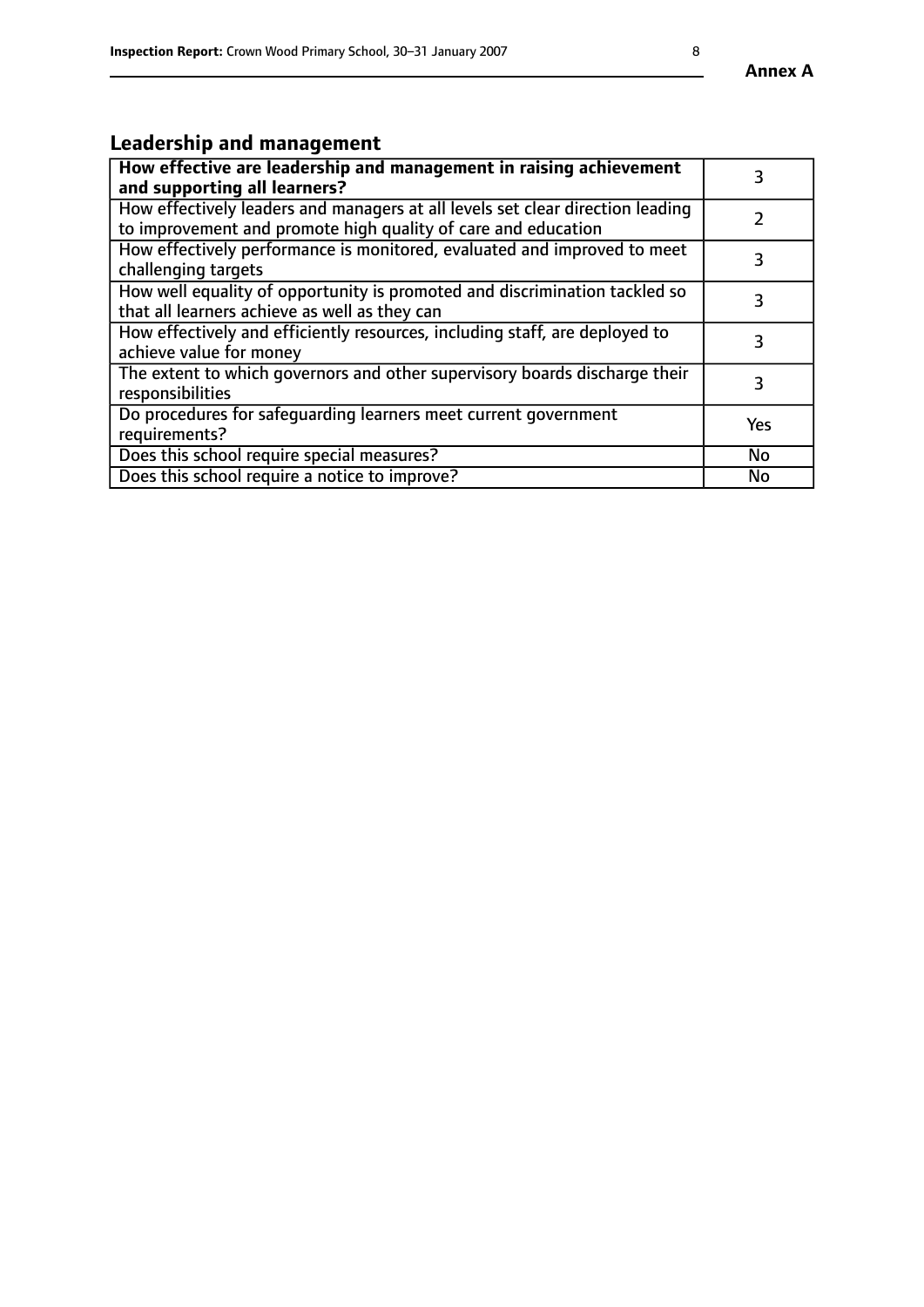# **Leadership and management**

| How effective are leadership and management in raising achievement<br>and supporting all learners?                                              |           |
|-------------------------------------------------------------------------------------------------------------------------------------------------|-----------|
| How effectively leaders and managers at all levels set clear direction leading<br>to improvement and promote high quality of care and education |           |
| How effectively performance is monitored, evaluated and improved to meet<br>challenging targets                                                 | 3         |
| How well equality of opportunity is promoted and discrimination tackled so<br>that all learners achieve as well as they can                     | 3         |
| How effectively and efficiently resources, including staff, are deployed to<br>achieve value for money                                          | 3         |
| The extent to which governors and other supervisory boards discharge their<br>responsibilities                                                  | 3         |
| Do procedures for safequarding learners meet current government<br>requirements?                                                                | Yes       |
| Does this school require special measures?                                                                                                      | No        |
| Does this school require a notice to improve?                                                                                                   | <b>No</b> |